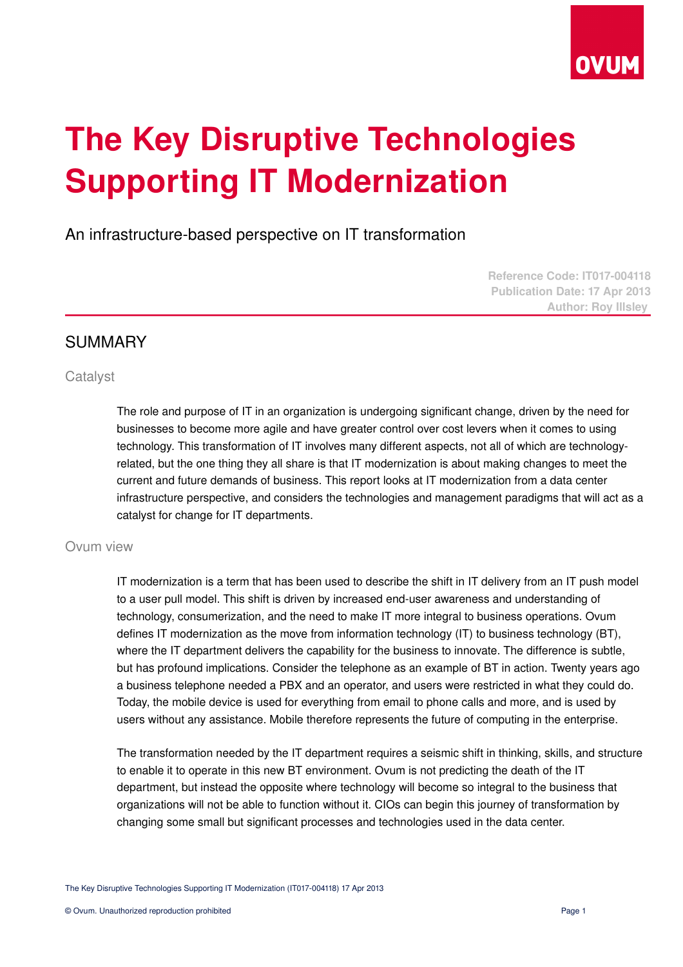

# **The Key Disruptive Technologies Supporting IT Modernization**

An infrastructure-based perspective on IT transformation

**Reference Code: IT017-004118 Publication Date: 17 Apr 2013 Author: Roy Illsley** 

## SUMMARY

### **Catalyst**

The role and purpose of IT in an organization is undergoing significant change, driven by the need for businesses to become more agile and have greater control over cost levers when it comes to using technology. This transformation of IT involves many different aspects, not all of which are technologyrelated, but the one thing they all share is that IT modernization is about making changes to meet the current and future demands of business. This report looks at IT modernization from a data center infrastructure perspective, and considers the technologies and management paradigms that will act as a catalyst for change for IT departments.

### Ovum view

IT modernization is a term that has been used to describe the shift in IT delivery from an IT push model to a user pull model. This shift is driven by increased end-user awareness and understanding of technology, consumerization, and the need to make IT more integral to business operations. Ovum defines IT modernization as the move from information technology (IT) to business technology (BT), where the IT department delivers the capability for the business to innovate. The difference is subtle, but has profound implications. Consider the telephone as an example of BT in action. Twenty years ago a business telephone needed a PBX and an operator, and users were restricted in what they could do. Today, the mobile device is used for everything from email to phone calls and more, and is used by users without any assistance. Mobile therefore represents the future of computing in the enterprise.

The transformation needed by the IT department requires a seismic shift in thinking, skills, and structure to enable it to operate in this new BT environment. Ovum is not predicting the death of the IT department, but instead the opposite where technology will become so integral to the business that organizations will not be able to function without it. CIOs can begin this journey of transformation by changing some small but significant processes and technologies used in the data center.

The Key Disruptive Technologies Supporting IT Modernization (IT017-004118) 17 Apr 2013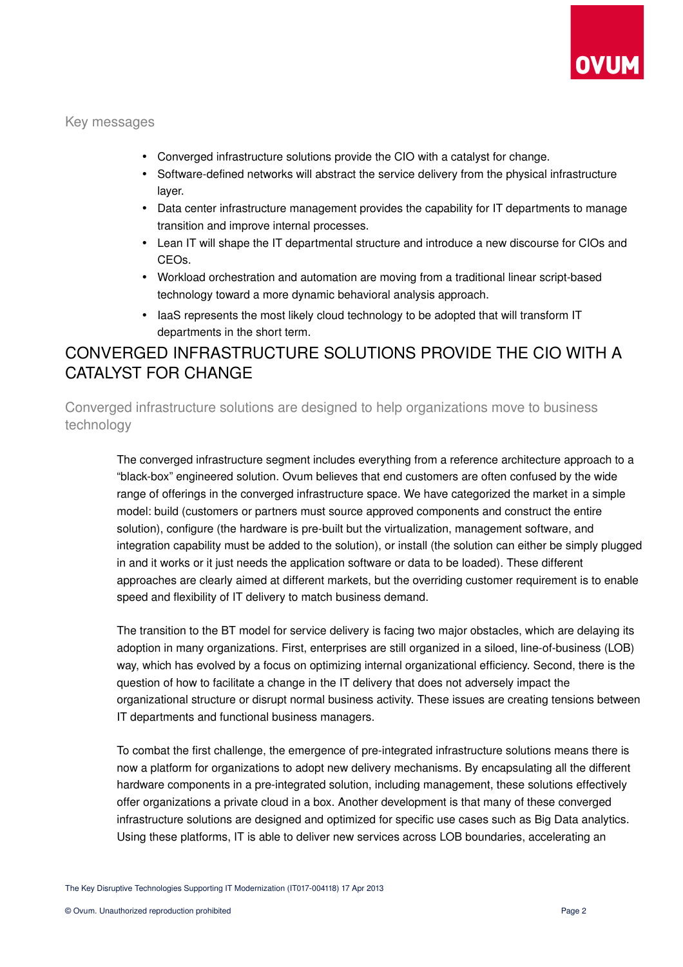

Key messages

- Converged infrastructure solutions provide the CIO with a catalyst for change.
- Software-defined networks will abstract the service delivery from the physical infrastructure layer.
- Data center infrastructure management provides the capability for IT departments to manage transition and improve internal processes.
- Lean IT will shape the IT departmental structure and introduce a new discourse for CIOs and CEOs.
- Workload orchestration and automation are moving from a traditional linear script-based technology toward a more dynamic behavioral analysis approach.
- laaS represents the most likely cloud technology to be adopted that will transform IT departments in the short term.

## CONVERGED INFRASTRUCTURE SOLUTIONS PROVIDE THE CIO WITH A CATALYST FOR CHANGE

Converged infrastructure solutions are designed to help organizations move to business technology

The converged infrastructure segment includes everything from a reference architecture approach to a "black-box" engineered solution. Ovum believes that end customers are often confused by the wide range of offerings in the converged infrastructure space. We have categorized the market in a simple model: build (customers or partners must source approved components and construct the entire solution), configure (the hardware is pre-built but the virtualization, management software, and integration capability must be added to the solution), or install (the solution can either be simply plugged in and it works or it just needs the application software or data to be loaded). These different approaches are clearly aimed at different markets, but the overriding customer requirement is to enable speed and flexibility of IT delivery to match business demand.

The transition to the BT model for service delivery is facing two major obstacles, which are delaying its adoption in many organizations. First, enterprises are still organized in a siloed, line-of-business (LOB) way, which has evolved by a focus on optimizing internal organizational efficiency. Second, there is the question of how to facilitate a change in the IT delivery that does not adversely impact the organizational structure or disrupt normal business activity. These issues are creating tensions between IT departments and functional business managers.

To combat the first challenge, the emergence of pre-integrated infrastructure solutions means there is now a platform for organizations to adopt new delivery mechanisms. By encapsulating all the different hardware components in a pre-integrated solution, including management, these solutions effectively offer organizations a private cloud in a box. Another development is that many of these converged infrastructure solutions are designed and optimized for specific use cases such as Big Data analytics. Using these platforms, IT is able to deliver new services across LOB boundaries, accelerating an

The Key Disruptive Technologies Supporting IT Modernization (IT017-004118) 17 Apr 2013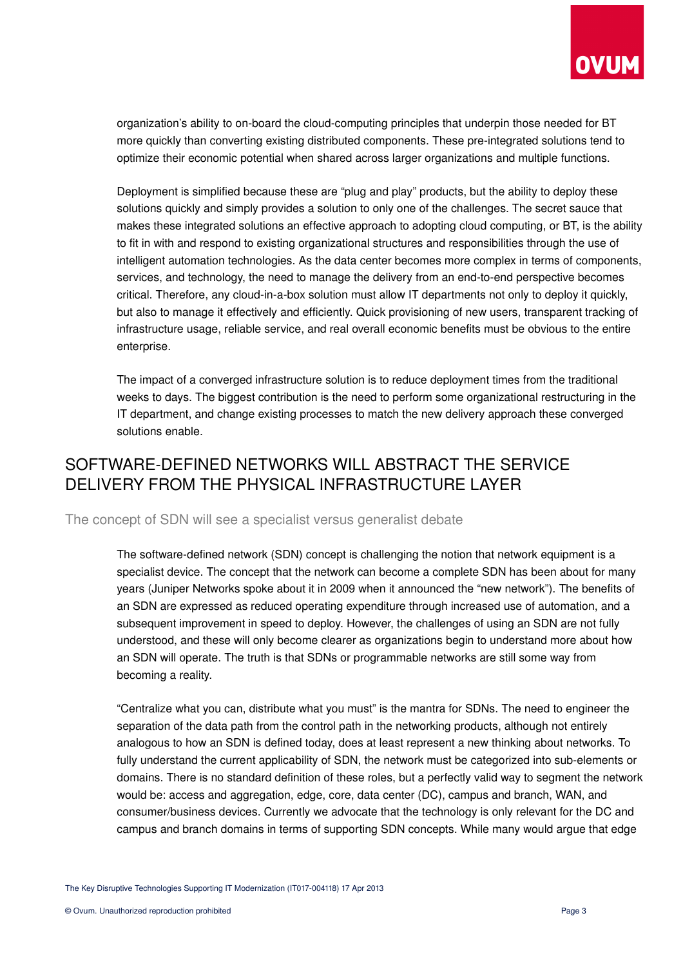

organization's ability to on-board the cloud-computing principles that underpin those needed for BT more quickly than converting existing distributed components. These pre-integrated solutions tend to optimize their economic potential when shared across larger organizations and multiple functions.

Deployment is simplified because these are "plug and play" products, but the ability to deploy these solutions quickly and simply provides a solution to only one of the challenges. The secret sauce that makes these integrated solutions an effective approach to adopting cloud computing, or BT, is the ability to fit in with and respond to existing organizational structures and responsibilities through the use of intelligent automation technologies. As the data center becomes more complex in terms of components, services, and technology, the need to manage the delivery from an end-to-end perspective becomes critical. Therefore, any cloud-in-a-box solution must allow IT departments not only to deploy it quickly, but also to manage it effectively and efficiently. Quick provisioning of new users, transparent tracking of infrastructure usage, reliable service, and real overall economic benefits must be obvious to the entire enterprise.

The impact of a converged infrastructure solution is to reduce deployment times from the traditional weeks to days. The biggest contribution is the need to perform some organizational restructuring in the IT department, and change existing processes to match the new delivery approach these converged solutions enable.

# SOFTWARE-DEFINED NETWORKS WILL ABSTRACT THE SERVICE DELIVERY FROM THE PHYSICAL INFRASTRUCTURE LAYER

The concept of SDN will see a specialist versus generalist debate

The software-defined network (SDN) concept is challenging the notion that network equipment is a specialist device. The concept that the network can become a complete SDN has been about for many years (Juniper Networks spoke about it in 2009 when it announced the "new network"). The benefits of an SDN are expressed as reduced operating expenditure through increased use of automation, and a subsequent improvement in speed to deploy. However, the challenges of using an SDN are not fully understood, and these will only become clearer as organizations begin to understand more about how an SDN will operate. The truth is that SDNs or programmable networks are still some way from becoming a reality.

"Centralize what you can, distribute what you must" is the mantra for SDNs. The need to engineer the separation of the data path from the control path in the networking products, although not entirely analogous to how an SDN is defined today, does at least represent a new thinking about networks. To fully understand the current applicability of SDN, the network must be categorized into sub-elements or domains. There is no standard definition of these roles, but a perfectly valid way to segment the network would be: access and aggregation, edge, core, data center (DC), campus and branch, WAN, and consumer/business devices. Currently we advocate that the technology is only relevant for the DC and campus and branch domains in terms of supporting SDN concepts. While many would argue that edge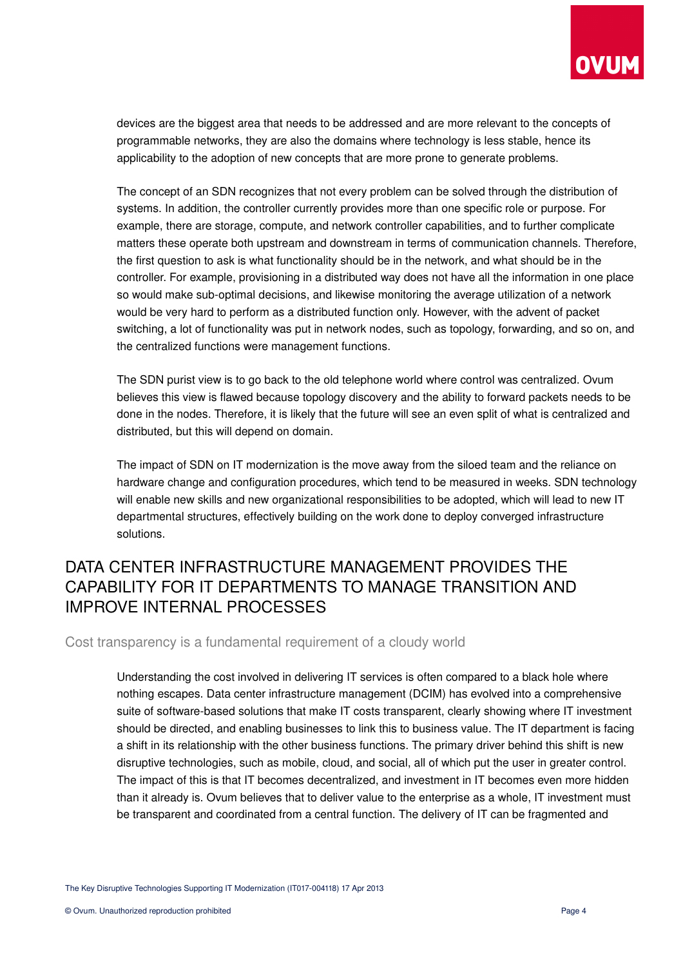

devices are the biggest area that needs to be addressed and are more relevant to the concepts of programmable networks, they are also the domains where technology is less stable, hence its applicability to the adoption of new concepts that are more prone to generate problems.

The concept of an SDN recognizes that not every problem can be solved through the distribution of systems. In addition, the controller currently provides more than one specific role or purpose. For example, there are storage, compute, and network controller capabilities, and to further complicate matters these operate both upstream and downstream in terms of communication channels. Therefore, the first question to ask is what functionality should be in the network, and what should be in the controller. For example, provisioning in a distributed way does not have all the information in one place so would make sub-optimal decisions, and likewise monitoring the average utilization of a network would be very hard to perform as a distributed function only. However, with the advent of packet switching, a lot of functionality was put in network nodes, such as topology, forwarding, and so on, and the centralized functions were management functions.

The SDN purist view is to go back to the old telephone world where control was centralized. Ovum believes this view is flawed because topology discovery and the ability to forward packets needs to be done in the nodes. Therefore, it is likely that the future will see an even split of what is centralized and distributed, but this will depend on domain.

The impact of SDN on IT modernization is the move away from the siloed team and the reliance on hardware change and configuration procedures, which tend to be measured in weeks. SDN technology will enable new skills and new organizational responsibilities to be adopted, which will lead to new IT departmental structures, effectively building on the work done to deploy converged infrastructure solutions.

## DATA CENTER INFRASTRUCTURE MANAGEMENT PROVIDES THE CAPABILITY FOR IT DEPARTMENTS TO MANAGE TRANSITION AND IMPROVE INTERNAL PROCESSES

Cost transparency is a fundamental requirement of a cloudy world

Understanding the cost involved in delivering IT services is often compared to a black hole where nothing escapes. Data center infrastructure management (DCIM) has evolved into a comprehensive suite of software-based solutions that make IT costs transparent, clearly showing where IT investment should be directed, and enabling businesses to link this to business value. The IT department is facing a shift in its relationship with the other business functions. The primary driver behind this shift is new disruptive technologies, such as mobile, cloud, and social, all of which put the user in greater control. The impact of this is that IT becomes decentralized, and investment in IT becomes even more hidden than it already is. Ovum believes that to deliver value to the enterprise as a whole, IT investment must be transparent and coordinated from a central function. The delivery of IT can be fragmented and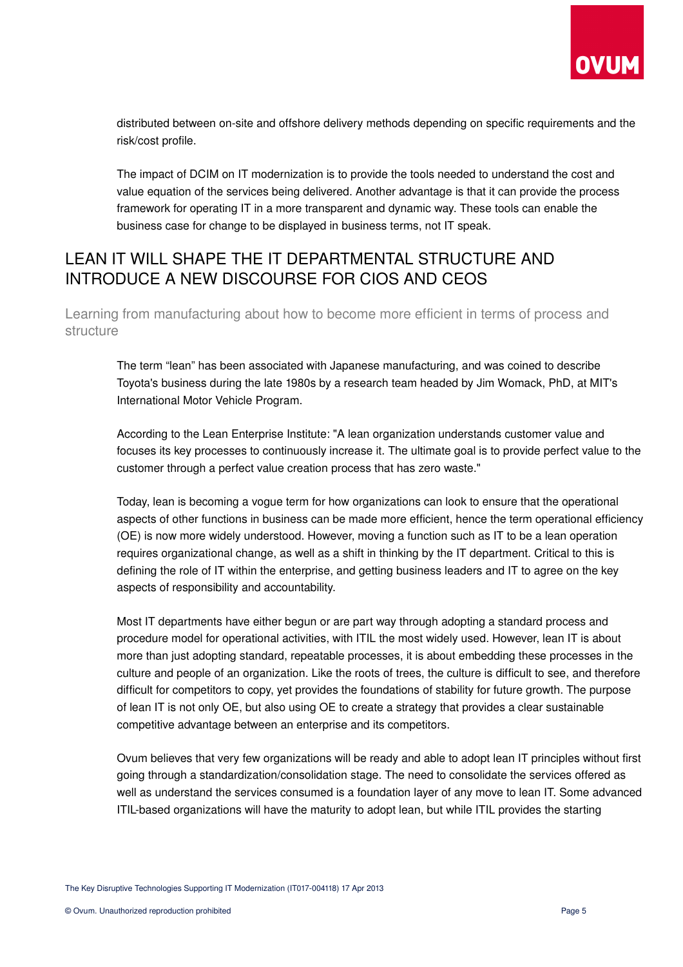

distributed between on-site and offshore delivery methods depending on specific requirements and the risk/cost profile.

The impact of DCIM on IT modernization is to provide the tools needed to understand the cost and value equation of the services being delivered. Another advantage is that it can provide the process framework for operating IT in a more transparent and dynamic way. These tools can enable the business case for change to be displayed in business terms, not IT speak.

## LEAN IT WILL SHAPE THE IT DEPARTMENTAL STRUCTURE AND INTRODUCE A NEW DISCOURSE FOR CIOS AND CEOS

Learning from manufacturing about how to become more efficient in terms of process and structure

The term "lean" has been associated with Japanese manufacturing, and was coined to describe Toyota's business during the late 1980s by a research team headed by Jim Womack, PhD, at MIT's International Motor Vehicle Program.

According to the Lean Enterprise Institute: "A lean organization understands customer value and focuses its key processes to continuously increase it. The ultimate goal is to provide perfect value to the customer through a perfect value creation process that has zero waste."

Today, lean is becoming a vogue term for how organizations can look to ensure that the operational aspects of other functions in business can be made more efficient, hence the term operational efficiency (OE) is now more widely understood. However, moving a function such as IT to be a lean operation requires organizational change, as well as a shift in thinking by the IT department. Critical to this is defining the role of IT within the enterprise, and getting business leaders and IT to agree on the key aspects of responsibility and accountability.

Most IT departments have either begun or are part way through adopting a standard process and procedure model for operational activities, with ITIL the most widely used. However, lean IT is about more than just adopting standard, repeatable processes, it is about embedding these processes in the culture and people of an organization. Like the roots of trees, the culture is difficult to see, and therefore difficult for competitors to copy, yet provides the foundations of stability for future growth. The purpose of lean IT is not only OE, but also using OE to create a strategy that provides a clear sustainable competitive advantage between an enterprise and its competitors.

Ovum believes that very few organizations will be ready and able to adopt lean IT principles without first going through a standardization/consolidation stage. The need to consolidate the services offered as well as understand the services consumed is a foundation layer of any move to lean IT. Some advanced ITIL-based organizations will have the maturity to adopt lean, but while ITIL provides the starting

The Key Disruptive Technologies Supporting IT Modernization (IT017-004118) 17 Apr 2013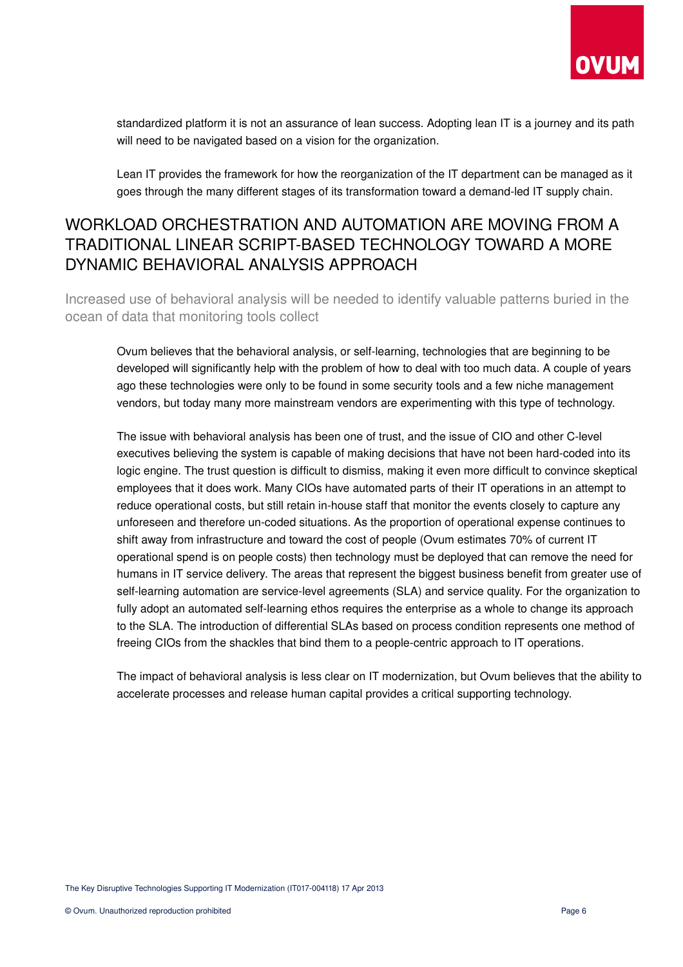

standardized platform it is not an assurance of lean success. Adopting lean IT is a journey and its path will need to be navigated based on a vision for the organization.

Lean IT provides the framework for how the reorganization of the IT department can be managed as it goes through the many different stages of its transformation toward a demand-led IT supply chain.

## WORKLOAD ORCHESTRATION AND AUTOMATION ARE MOVING FROM A TRADITIONAL LINEAR SCRIPT-BASED TECHNOLOGY TOWARD A MORE DYNAMIC BEHAVIORAL ANALYSIS APPROACH

Increased use of behavioral analysis will be needed to identify valuable patterns buried in the ocean of data that monitoring tools collect

Ovum believes that the behavioral analysis, or self-learning, technologies that are beginning to be developed will significantly help with the problem of how to deal with too much data. A couple of years ago these technologies were only to be found in some security tools and a few niche management vendors, but today many more mainstream vendors are experimenting with this type of technology.

The issue with behavioral analysis has been one of trust, and the issue of CIO and other C-level executives believing the system is capable of making decisions that have not been hard-coded into its logic engine. The trust question is difficult to dismiss, making it even more difficult to convince skeptical employees that it does work. Many CIOs have automated parts of their IT operations in an attempt to reduce operational costs, but still retain in-house staff that monitor the events closely to capture any unforeseen and therefore un-coded situations. As the proportion of operational expense continues to shift away from infrastructure and toward the cost of people (Ovum estimates 70% of current IT operational spend is on people costs) then technology must be deployed that can remove the need for humans in IT service delivery. The areas that represent the biggest business benefit from greater use of self-learning automation are service-level agreements (SLA) and service quality. For the organization to fully adopt an automated self-learning ethos requires the enterprise as a whole to change its approach to the SLA. The introduction of differential SLAs based on process condition represents one method of freeing CIOs from the shackles that bind them to a peoplecentric approach to IT operations.

The impact of behavioral analysis is less clear on IT modernization, but Ovum believes that the ability to accelerate processes and release human capital provides a critical supporting technology.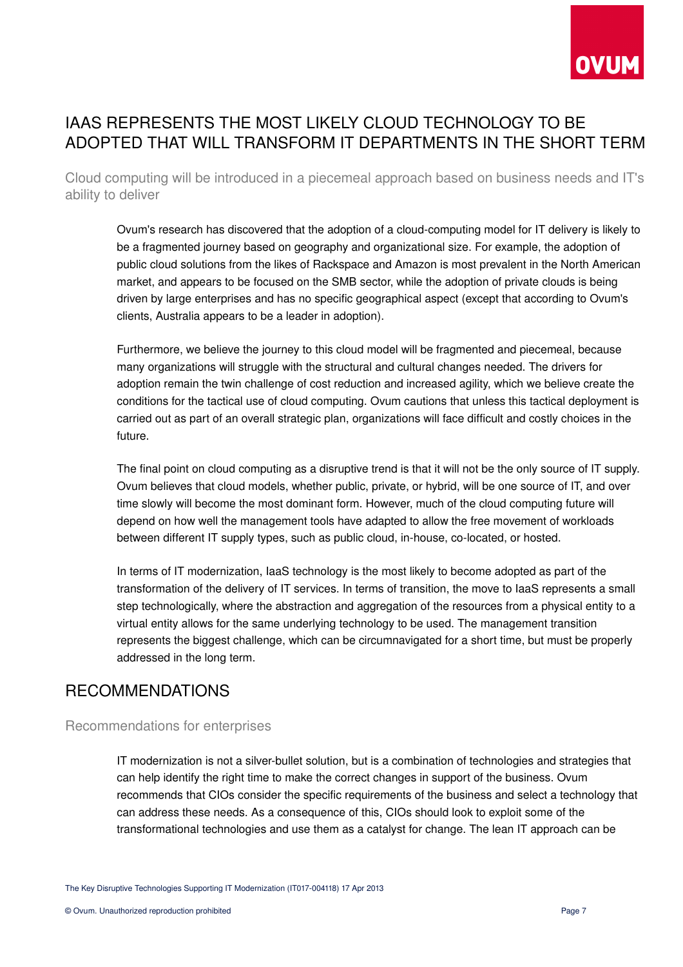

## IAAS REPRESENTS THE MOST LIKELY CLOUD TECHNOLOGY TO BE ADOPTED THAT WILL TRANSFORM IT DEPARTMENTS IN THE SHORT TERM

Cloud computing will be introduced in a piecemeal approach based on business needs and IT's ability to deliver

Ovum's research has discovered that the adoption of a cloud-computing model for IT delivery is likely to be a fragmented journey based on geography and organizational size. For example, the adoption of public cloud solutions from the likes of Rackspace and Amazon is most prevalent in the North American market, and appears to be focused on the SMB sector, while the adoption of private clouds is being driven by large enterprises and has no specific geographical aspect (except that according to Ovum's clients, Australia appears to be a leader in adoption).

Furthermore, we believe the journey to this cloud model will be fragmented and piecemeal, because many organizations will struggle with the structural and cultural changes needed. The drivers for adoption remain the twin challenge of cost reduction and increased agility, which we believe create the conditions for the tactical use of cloud computing. Ovum cautions that unless this tactical deployment is carried out as part of an overall strategic plan, organizations will face difficult and costly choices in the future.

The final point on cloud computing as a disruptive trend is that it will not be the only source of IT supply. Ovum believes that cloud models, whether public, private, or hybrid, will be one source of IT, and over time slowly will become the most dominant form. However, much of the cloud computing future will depend on how well the management tools have adapted to allow the free movement of workloads between different IT supply types, such as public cloud, in-house, co-located, or hosted.

In terms of IT modernization, IaaS technology is the most likely to become adopted as part of the transformation of the delivery of IT services. In terms of transition, the move to IaaS represents a small step technologically, where the abstraction and aggregation of the resources from a physical entity to a virtual entity allows for the same underlying technology to be used. The management transition represents the biggest challenge, which can be circumnavigated for a short time, but must be properly addressed in the long term.

## RECOMMENDATIONS

### Recommendations for enterprises

IT modernization is not a silver-bullet solution, but is a combination of technologies and strategies that can help identify the right time to make the correct changes in support of the business. Ovum recommends that CIOs consider the specific requirements of the business and select a technology that can address these needs. As a consequence of this, CIOs should look to exploit some of the transformational technologies and use them as a catalyst for change. The lean IT approach can be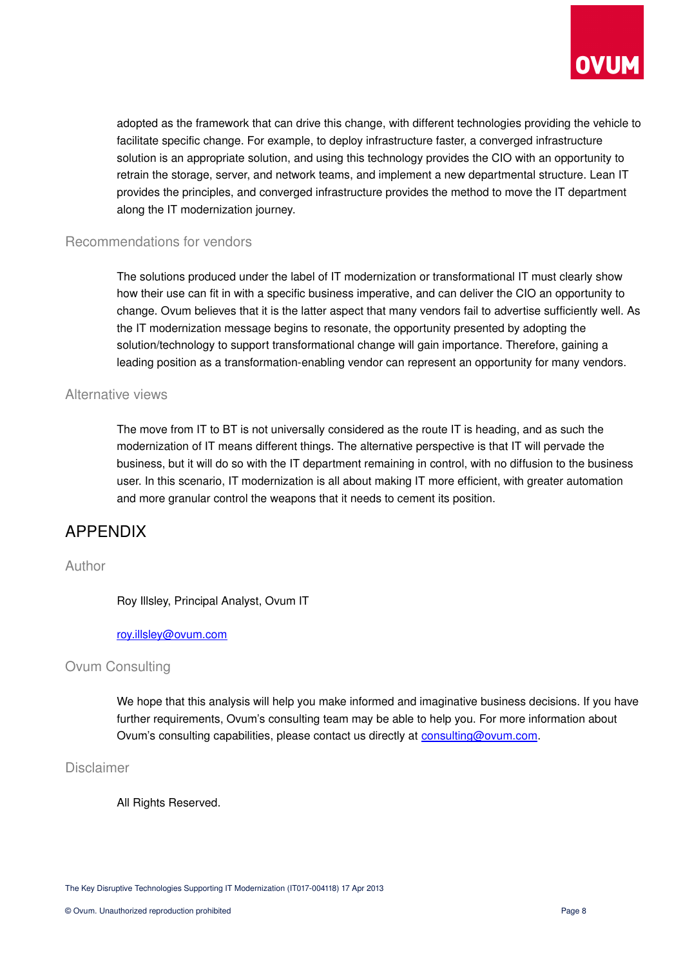

adopted as the framework that can drive this change, with different technologies providing the vehicle to facilitate specific change. For example, to deploy infrastructure faster, a converged infrastructure solution is an appropriate solution, and using this technology provides the CIO with an opportunity to retrain the storage, server, and network teams, and implement a new departmental structure. Lean IT provides the principles, and converged infrastructure provides the method to move the IT department along the IT modernization journey.

#### Recommendations for vendors

The solutions produced under the label of IT modernization or transformational IT must clearly show how their use can fit in with a specific business imperative, and can deliver the CIO an opportunity to change. Ovum believes that it is the latter aspect that many vendors fail to advertise sufficiently well. As the IT modernization message begins to resonate, the opportunity presented by adopting the solution/technology to support transformational change will gain importance. Therefore, gaining a leading position as a transformation-enabling vendor can represent an opportunity for many vendors.

#### Alternative views

The move from IT to BT is not universally considered as the route IT is heading, and as such the modernization of IT means different things. The alternative perspective is that IT will pervade the business, but it will do so with the IT department remaining in control, with no diffusion to the business user. In this scenario, IT modernization is all about making IT more efficient, with greater automation and more granular control the weapons that it needs to cement its position.

## APPENDIX

#### Author

Roy Illsley, Principal Analyst, Ovum IT

#### [roy.illsley@ovum.com](mailto:roy.illsley@ovum.com)

#### Ovum Consulting

We hope that this analysis will help you make informed and imaginative business decisions. If you have further requirements, Ovum's consulting team may be able to help you. For more information about Ovum's consulting capabilities, please contact us directly at [consulting@ovum.com.](mailto:consulting@ovum.com)

Disclaimer

All Rights Reserved.